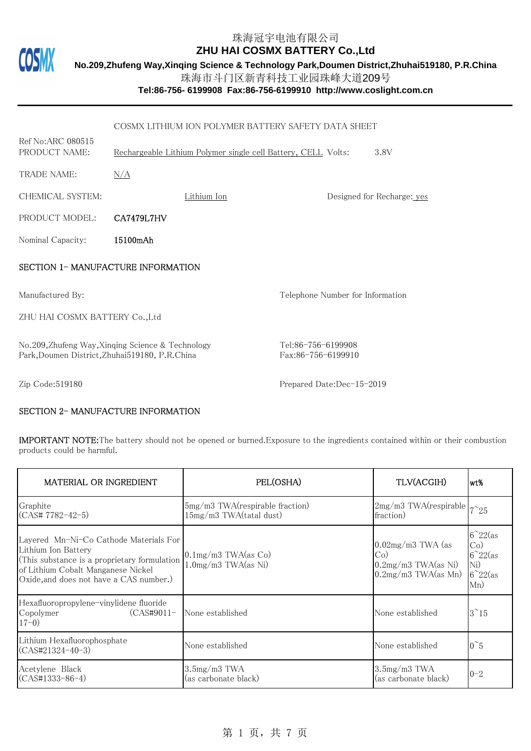

**No.209,Zhufeng Way,Xinqing Science & Technology Park,Doumen District,Zhuhai519180, P.R.China**

珠海市斗门区新青科技工业园珠峰大道209号

**Tel:86-756- 6199908 Fax:86-756-6199910 http://www.coslight.com.cn**

|                                                                                                     | COSMX LITHIUM ION POLYMER BATTERY SAFETY DATA SHEET                   |                                          |                            |  |
|-----------------------------------------------------------------------------------------------------|-----------------------------------------------------------------------|------------------------------------------|----------------------------|--|
| Ref No: ARC 080515<br>PRODUCT NAME:                                                                 | Rechargeable Lithium Polymer single cell Battery, CELL Volts:<br>3.8V |                                          |                            |  |
| <b>TRADE NAME:</b>                                                                                  | N/A                                                                   |                                          |                            |  |
| CHEMICAL SYSTEM:                                                                                    | Lithium Ion                                                           |                                          | Designed for Recharge: yes |  |
| PRODUCT MODEL:                                                                                      | CA7479L7HV                                                            |                                          |                            |  |
| Nominal Capacity:                                                                                   | 15100mAh                                                              |                                          |                            |  |
| SECTION 1- MANUFACTURE INFORMATION                                                                  |                                                                       |                                          |                            |  |
| Manufactured By:                                                                                    |                                                                       | Telephone Number for Information         |                            |  |
| ZHU HAI COSMX BATTERY Co., Ltd                                                                      |                                                                       |                                          |                            |  |
| No.209, Zhufeng Way, Xinqing Science & Technology<br>Park, Doumen District, Zhuhai519180, P.R.China |                                                                       | Tel:86-756-6199908<br>Fax:86-756-6199910 |                            |  |
| Zip Code:519180                                                                                     |                                                                       | Prepared Date:Dec-15-2019                |                            |  |

#### SECTION 2- MANUFACTURE INFORMATION

IMPORTANT NOTE:The battery should not be opened or burned.Exposure to the ingredients contained within or their combustion products could be harmful.

| MATERIAL OR INGREDIENT                                                                                                                                                                         | PEL(OSHA)                                                  | TLV(ACGIH)                                                                      | lwt%                                                                          |
|------------------------------------------------------------------------------------------------------------------------------------------------------------------------------------------------|------------------------------------------------------------|---------------------------------------------------------------------------------|-------------------------------------------------------------------------------|
| Graphite<br>(CAS# 7782-42-5)                                                                                                                                                                   | 5mg/m3 TWA(respirable fraction)<br>15mg/m3 TWA(tatal dust) | $2mg/m3$ TWA(respirable $\vert 7^{\sim}25 \vert$<br>fraction)                   |                                                                               |
| Layered Mn-Ni-Co Cathode Materials For<br>Lithium Ion Battery<br>(This substance is a proprietary formulation<br>of Lithium Cobalt Manganese Nickel<br>Oxide, and does not have a CAS number.) | $0.1$ mg/m3 TWA(as Co)<br>$1.0$ mg/m $3$ TWA $(as$ Ni)     | $0.02mg/m3$ TWA (as<br>Co)<br>$0.2mg/m3$ TWA $(as$ Ni)<br>$0.2mg/m3$ TWA(as Mn) | $6^{\sim}22$ (as<br>Co)<br>$6^{\sim}22$ (as<br>Ni)<br>$6^{\sim}22$ (as<br>Mn) |
| Hexafluoropropylene-vinylidene fluoride<br>$(CAS#9011-$<br>Copolymer<br>$17-0)$                                                                                                                | None established                                           | None established                                                                | $3^{\sim}15$                                                                  |
| Lithium Hexafluorophosphate<br>(CAS#21324-40-3)                                                                                                                                                | None established                                           | None established                                                                | $0^{\sim}5$                                                                   |
| Acetylene Black<br>(CAS#1333-86-4)                                                                                                                                                             | $3.5mg/m3$ TWA<br>(as carbonate black)                     | $3.5mg/m3$ TWA<br>(as carbonate black)                                          | $0 - 2$                                                                       |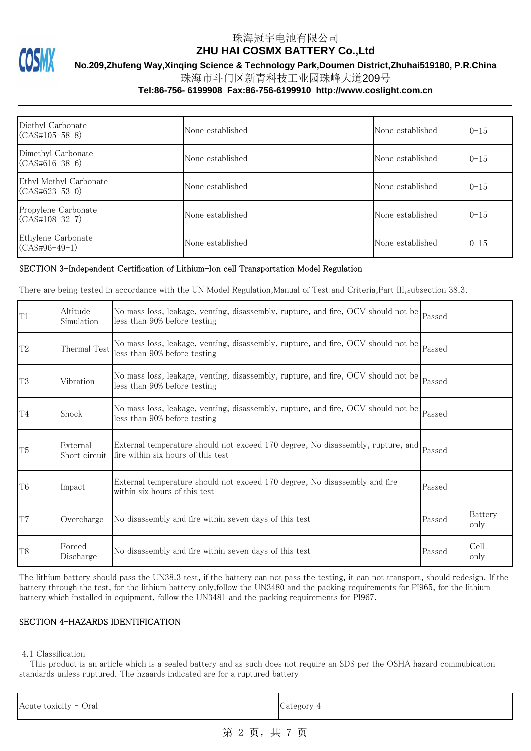

**No.209,Zhufeng Way,Xinqing Science & Technology Park,Doumen District,Zhuhai519180, P.R.China**

珠海市斗门区新青科技工业园珠峰大道209号

#### **Tel:86-756- 6199908 Fax:86-756-6199910 http://www.coslight.com.cn**

| Diethyl Carbonate<br>$(CAS#105-58-8)$      | None established | None established | $0 - 15$ |
|--------------------------------------------|------------------|------------------|----------|
| Dimethyl Carbonate<br>$(CAS#616-38-6)$     | None established | None established | $0 - 15$ |
| Ethyl Methyl Carbonate<br>$(CAS#623-53-0)$ | None established | None established | $0 - 15$ |
| Propylene Carbonate<br>$(CAS#108-32-7)$    | None established | None established | $0 - 15$ |
| Ethylene Carbonate<br>$(CAS#96-49-1)$      | None established | None established | $0 - 15$ |

#### SECTION 3-Independent Certification of Lithium-Ion cell Transportation Model Regulation

There are being tested in accordance with the UN Model Regulation,Manual of Test and Criteria,Part III,subsection 38.3.

| T1             | Altitude<br>Simulation    | No mass loss, leakage, venting, disassembly, rupture, and fire, OCV should not be Passed<br>less than 90% before testing              |        |                 |
|----------------|---------------------------|---------------------------------------------------------------------------------------------------------------------------------------|--------|-----------------|
| $\mathcal{T}2$ | Thermal Test              | No mass loss, leakage, venting, disassembly, rupture, and fire, OCV should not be Passed<br>less than 90% before testing              |        |                 |
| T <sub>3</sub> | Vibration                 | No mass loss, leakage, venting, disassembly, rupture, and fire, OCV should not be Passed<br>less than 90% before testing              |        |                 |
| T <sub>4</sub> | Shock                     | No mass loss, leakage, venting, disassembly, rupture, and fire, OCV should not be $_{\rm Passed}$<br>less than 90% before testing     |        |                 |
| T <sub>5</sub> | External<br>Short circuit | External temperature should not exceed 170 degree, No disassembly, rupture, and $_{\rm Passed}$<br>fire within six hours of this test |        |                 |
| T <sub>6</sub> | Impact                    | External temperature should not exceed 170 degree, No disassembly and fire<br>within six hours of this test                           | Passed |                 |
| T <sub>7</sub> | Overcharge                | No disassembly and fire within seven days of this test                                                                                | Passed | Battery<br>only |
| T <sub>8</sub> | Forced<br>Discharge       | No disassembly and fire within seven days of this test                                                                                | Passed | Cell<br>only    |

The lithium battery should pass the UN38.3 test, if the battery can not pass the testing, it can not transport, should redesign. If the battery through the test, for the lithium battery only,follow the UN3480 and the packing requirements for PI965, for the lithium battery which installed in equipment, follow the UN3481 and the packing requirements for PI967.

### SECTION 4-HAZARDS IDENTIFICATION

4.1 Classification

 This product is an article which is a sealed battery and as such does not require an SDS per the OSHA hazard commubication standards unless ruptured. The hzaards indicated are for a ruptured battery

| Category 4 | Acute toxicity - Oral |  |
|------------|-----------------------|--|
|------------|-----------------------|--|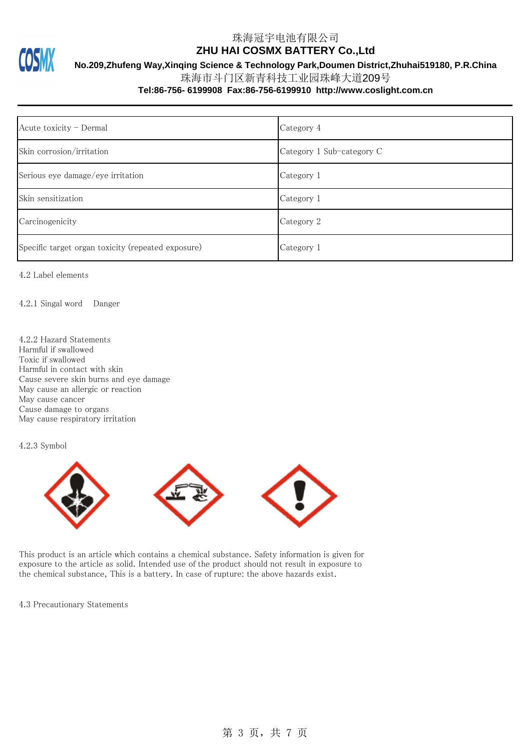

**No.209,Zhufeng Way,Xinqing Science & Technology Park,Doumen District,Zhuhai519180, P.R.China**

珠海市斗门区新青科技工业园珠峰大道209号

### **Tel:86-756- 6199908 Fax:86-756-6199910 http://www.coslight.com.cn**

| Acute toxicity - Dermal                            | Category 4                |
|----------------------------------------------------|---------------------------|
| Skin corrosion/irritation                          | Category 1 Sub-category C |
| Serious eye damage/eye irritation                  | Category 1                |
| Skin sensitization                                 | Category 1                |
| Carcinogenicity                                    | Category 2                |
| Specific target organ toxicity (repeated exposure) | Category 1                |

4.2 Label elements

4.2.1 Singal word Danger

4.2.2 Hazard Statements Harmful if swallowed Toxic if swallowed Harmful in contact with skin Cause severe skin burns and eye damage May cause an allergic or reaction May cause cancer Cause damage to organs May cause respiratory irritation

4.2.3 Symbol



This product is an article which contains a chemical substance. Safety information is given for exposure to the article as solid. Intended use of the product should not result in exposure to the chemical substance, This is a battery. In case of rupture: the above hazards exist.

4.3 Precautionary Statements

# 第 3 页, 共 7 页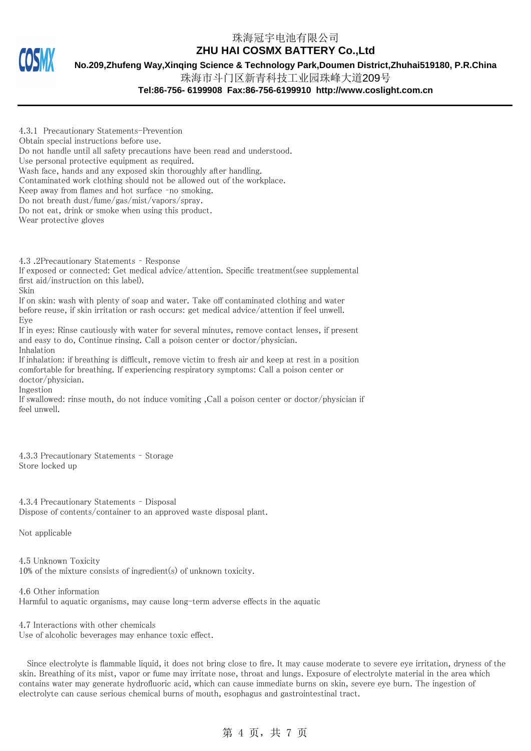**No.209,Zhufeng Way,Xinqing Science & Technology Park,Doumen District,Zhuhai519180, P.R.China**

珠海市斗门区新青科技工业园珠峰大道209号

**Tel:86-756- 6199908 Fax:86-756-6199910 http://www.coslight.com.cn**

4.3.1 Precautionary Statements-Prevention Obtain special instructions before use. Do not handle until all safety precautions have been read and understood. Use personal protective equipment as required. Wash face, hands and any exposed skin thoroughly after handling. Contaminated work clothing should not be allowed out of the workplace. Keep away from flames and hot surface –no smoking. Do not breath dust/fume/gas/mist/vapors/spray. Do not eat, drink or smoke when using this product. Wear protective gloves

4.3 .2Precautionary Statements – Response

If exposed or connected: Get medical advice/attention. Specific treatment(see supplemental first aid/instruction on this label).

Skin

If on skin: wash with plenty of soap and water. Take off contaminated clothing and water before reuse, if skin irritation or rash occurs: get medical advice/attention if feel unwell. Eye

If in eyes: Rinse cautiously with water for several minutes, remove contact lenses, if present and easy to do, Continue rinsing. Call a poison center or doctor/physician. Inhalation

If inhalation: if breathing is difficult, remove victim to fresh air and keep at rest in a position comfortable for breathing. If experiencing respiratory symptoms: Call a poison center or doctor/physician.

Ingestion

If swallowed: rinse mouth, do not induce vomiting ,Call a poison center or doctor/physician if feel unwell.

4.3.3 Precautionary Statements – Storage Store locked up

4.3.4 Precautionary Statements – Disposal Dispose of contents/container to an approved waste disposal plant.

Not applicable

4.5 Unknown Toxicity 10% of the mixture consists of ingredient(s) of unknown toxicity.

4.6 Other information Harmful to aquatic organisms, may cause long-term adverse effects in the aquatic

4.7 Interactions with other chemicals Use of alcoholic beverages may enhance toxic effect.

 Since electrolyte is flammable liquid, it does not bring close to fire. It may cause moderate to severe eye irritation, dryness of the skin. Breathing of its mist, vapor or fume may irritate nose, throat and lungs. Exposure of electrolyte material in the area which contains water may generate hydrofluoric acid, which can cause immediate burns on skin, severe eye burn. The ingestion of electrolyte can cause serious chemical burns of mouth, esophagus and gastrointestinal tract.

# 第 4 页,共 7 页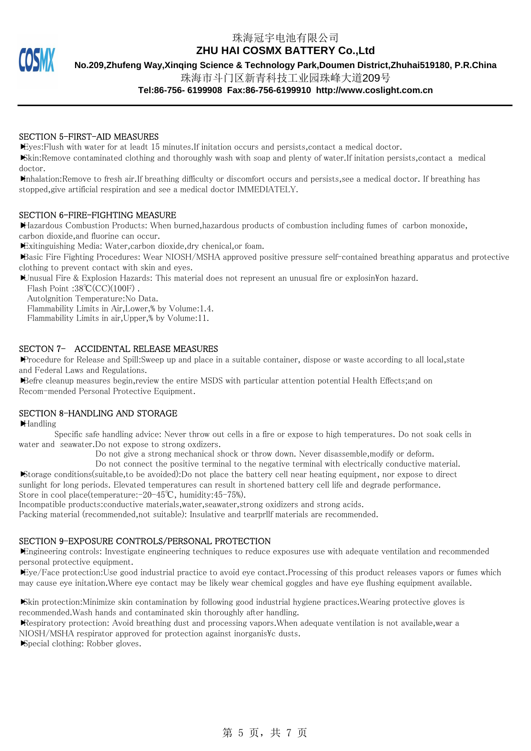珠海冠宇电池有限公司

**ZHU HAI COSMX BATTERY Co.,Ltd**

**No.209,Zhufeng Way,Xinqing Science & Technology Park,Doumen District,Zhuhai519180, P.R.China**

珠海市斗门区新青科技工业园珠峰大道209号

#### **Tel:86-756- 6199908 Fax:86-756-6199910 http://www.coslight.com.cn**

#### SECTION 5-FIRST-AID MEASURES

Eyes:Flush with water for at leadt 15 minutes.If initation occurs and persists,contact a medical doctor.

Skin:Remove contaminated clothing and thoroughly wash with soap and plenty of water.If initation persists,contact a medical doctor.

Inhalation:Remove to fresh air.If breathing difficulty or discomfort occurs and persists,see a medical doctor. If breathing has stopped,give artificial respiration and see a medical doctor IMMEDIATELY.

#### SECTION 6-FIRE-FIGHTING MEASURE

Hazardous Combustion Products: When burned,hazardous products of combustion including fumes of carbon monoxide, carbon dioxide,and fluorine can occur.

Exitinguishing Media: Water,carbon dioxide,dry chenical,or foam.

Basic Fire Fighting Procedures: Wear NIOSH/MSHA approved positive pressure self-contained breathing apparatus and protective clothing to prevent contact with skin and eyes.

Unusual Fire & Explosion Hazards: This material does not represent an unusual fire or explosin<sup>y</sup>on hazard.

Flash Point :38℃(CC)(100F) .

Autolgnition Temperature:No Data.

Flammability Limits in Air,Lower,% by Volume:1.4.

Flammability Limits in air,Upper,% by Volume:11.

#### SECTON 7- ACCIDENTAL RELEASE MEASURES

Procedure for Release and Spill:Sweep up and place in a suitable container, dispose or waste according to all local, state and Federal Laws and Regulations.

Befre cleanup measures begin,review the entire MSDS with particular attention potential Health Effects;and on Recom-mended Personal Protective Equipment.

#### SECTION 8-HANDLING AND STORAGE

Handling

 Specific safe handling advice: Never throw out cells in a fire or expose to high temperatures. Do not soak cells in water and seawater.Do not expose to strong oxdizers.

Do not give a strong mechanical shock or throw down. Never disassemble,modify or deform.

 Do not connect the positive terminal to the negative terminal with electrically conductive material. Storage conditions(suitable,to be avoided):Do not place the battery cell near heating equipment, nor expose to direct sunlight for long periods. Elevated temperatures can result in shortened battery cell life and degrade performance. Store in cool place(temperature:-20-45℃, humidity:45-75%).

Incompatible products:conductive materials,water,seawater,strong oxidizers and strong acids.

Packing material (recommended,not suitable): Insulative and tearprllf materials are recommended.

## SECTION 9-EXPOSURE CONTROLS/PERSONAL PROTECTION

Engineering controls: Investigate engineering techniques to reduce exposures use with adequate ventilation and recommended personal protective equipment.

Eye/Face protection:Use good industrial practice to avoid eye contact.Processing of this product releases vapors or fumes which may cause eye initation.Where eye contact may be likely wear chemical goggles and have eye flushing equipment available.

Skin protection:Minimize skin contamination by following good industrial hygiene practices.Wearing protective gloves is recommended.Wash hands and contaminated skin thoroughly after handling.

Respiratory protection: Avoid breathing dust and processing vapors.When adequate ventilation is not available,wear a  $NIOSH/MSHA$  respirator approved for protection against inorganis $\&c$  dusts.

Special clothing: Robber gloves.

第 5 页, 共 7 页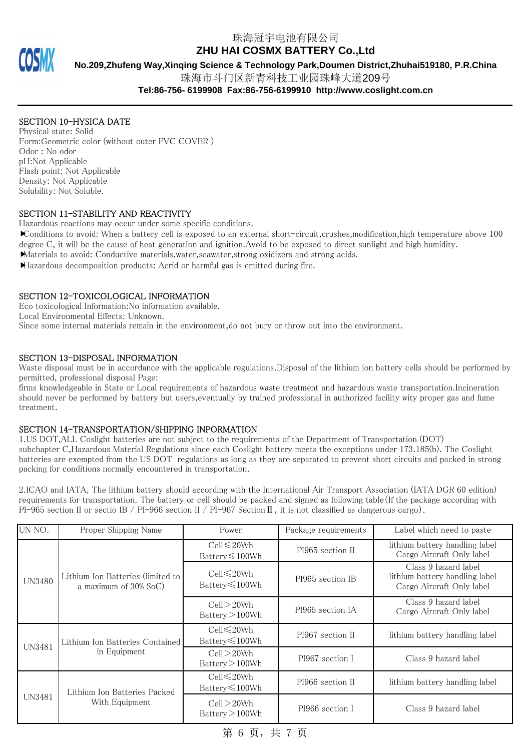# 珠海冠宇电池有限公司

**ZHU HAI COSMX BATTERY Co.,Ltd**

**No.209,Zhufeng Way,Xinqing Science & Technology Park,Doumen District,Zhuhai519180, P.R.China**

珠海市斗门区新青科技工业园珠峰大道209号

**Tel:86-756- 6199908 Fax:86-756-6199910 http://www.coslight.com.cn**

# SECTION 10-HYSICA DATE

Physical state: Solid Form:Geometric color (without outer PVC COVER ) Odor : No odor pH:Not Applicable Flash point: Not Applicable Density: Not Applicable Solubility: Not Soluble.

## SECTION 11-STABILITY AND REACTIVITY

Hazardous reactions may occur under some specific conditions.

Conditions to avoid: When a battery cell is exposed to an external short-circuit,crushes,modification,high temperature above 100 degree C, it will be the cause of heat generation and ignition.Avoid to be exposed to direct sunlight and high humidity.

Materials to avoid: Conductive materials,water,seawater,strong oxidizers and strong acids.

Hazardous decomposition products: Acrid or harmful gas is emitted during fire.

## SECTION 12-TOXICOLOGICAL INFORMATION

Eco toxicological Information:No information available.

Local Environmental Effects: Unknown.

Since some internal materials remain in the environment,do not bury or throw out into the environment.

## SECTION 13-DISPOSAL INFORMATION

Waste disposal must be in accordance with the applicable regulations.Disposal of the lithium ion battery cells should be performed by permitted, professional disposal Page:

firms knowledgeable in State or Local requirements of hazardous waste treatment and hazardous waste transportation.Incineration should never be performed by battery but users,eventually by trained professional in authorized facility wity proper gas and fume treatment.

## SECTION 14-TRANSPORTATION/SHIPPING INPORMATION

1.US DOT,ALL Coslight batteries are not subject to the requirements of the Department of Transportation (DOT) subchapter C,Hazardous Material Regulations since each Coslight battery meets the exceptions under 173.185(b). The Coslight batteries are exempted from the US DOT regulations as long as they are separated to prevent short circuits and packed in strong packing for conditions normally encountered in transportation.

2.ICAO and IATA, The lithium battery should according with the International Air Transport Association (IATA DGR 60 edition) requirements for transportation. The battery or cell should be packed and signed as following table(If the package according with PI-965 section II or sectio IB / PI-966 section II / PI-967 Section II, it is not classified as dangerous cargo).

| UN NO.        | Proper Shipping Name                                          | Power                                     | Package requirements | Label which need to paste                                                           |
|---------------|---------------------------------------------------------------|-------------------------------------------|----------------------|-------------------------------------------------------------------------------------|
| <b>UN3480</b> | Lithium Ion Batteries (limited to<br>a maximum of $30\%$ SoC) | $Cell \leq 20Wh$<br>Battery $\leq 100$ Wh | PI965 section II     | lithium battery handling label<br>Cargo Aircraft Only label                         |
|               |                                                               | $Cell \leq 20Wh$<br>Battery≤100Wh         | PI965 section IB     | Class 9 hazard label<br>lithium battery handling label<br>Cargo Aircraft Only label |
|               |                                                               | $Cell$ $>$ 20Wh<br>Battery > 100Wh        | PI965 section IA     | Class 9 hazard label<br>Cargo Aircraft Only label                                   |
| <b>UN3481</b> | Lithium Ion Batteries Contained  <br>in Equipment             | Cell≤20Wh<br>Battery $\leq 100$ Wh        | PI967 section II     | lithium battery handling label                                                      |
|               |                                                               | $Cell$ $>$ 20Wh<br>Battery > 100Wh        | PI967 section I      | Class 9 hazard label                                                                |
| <b>UN3481</b> | Lithium Ion Batteries Packed<br>With Equipment                | Cell≤20Wh<br>Battery≤100Wh                | PI966 section II     | lithium battery handling label                                                      |
|               |                                                               | $Cell$ $>$ 20Wh<br>Battery > 100Wh        | PI966 section I      | Class 9 hazard label                                                                |